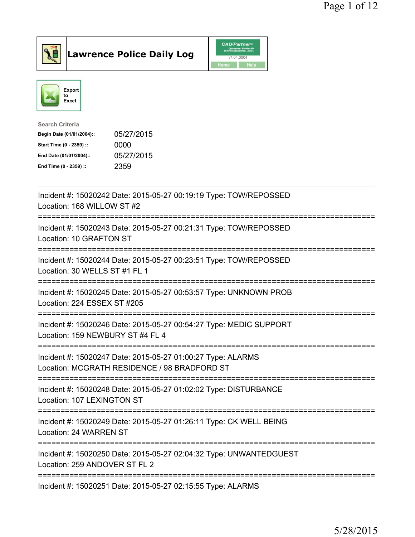





| <b>Search Criteria</b>    |            |
|---------------------------|------------|
| Begin Date (01/01/2004):: | 05/27/2015 |
| Start Time (0 - 2359) ::  | 0000       |
| End Date (01/01/2004)::   | 05/27/2015 |
| End Time (0 - 2359) ::    | 2359       |
|                           |            |

| Incident #: 15020242 Date: 2015-05-27 00:19:19 Type: TOW/REPOSSED<br>Location: 168 WILLOW ST #2             |
|-------------------------------------------------------------------------------------------------------------|
| Incident #: 15020243 Date: 2015-05-27 00:21:31 Type: TOW/REPOSSED<br>Location: 10 GRAFTON ST                |
| Incident #: 15020244 Date: 2015-05-27 00:23:51 Type: TOW/REPOSSED<br>Location: 30 WELLS ST #1 FL 1          |
| Incident #: 15020245 Date: 2015-05-27 00:53:57 Type: UNKNOWN PROB<br>Location: 224 ESSEX ST #205            |
| Incident #: 15020246 Date: 2015-05-27 00:54:27 Type: MEDIC SUPPORT<br>Location: 159 NEWBURY ST #4 FL 4      |
| Incident #: 15020247 Date: 2015-05-27 01:00:27 Type: ALARMS<br>Location: MCGRATH RESIDENCE / 98 BRADFORD ST |
| Incident #: 15020248 Date: 2015-05-27 01:02:02 Type: DISTURBANCE<br>Location: 107 LEXINGTON ST              |
| Incident #: 15020249 Date: 2015-05-27 01:26:11 Type: CK WELL BEING<br>Location: 24 WARREN ST                |
| Incident #: 15020250 Date: 2015-05-27 02:04:32 Type: UNWANTEDGUEST<br>Location: 259 ANDOVER ST FL 2         |
| Incident #: 15020251 Date: 2015-05-27 02:15:55 Type: ALARMS                                                 |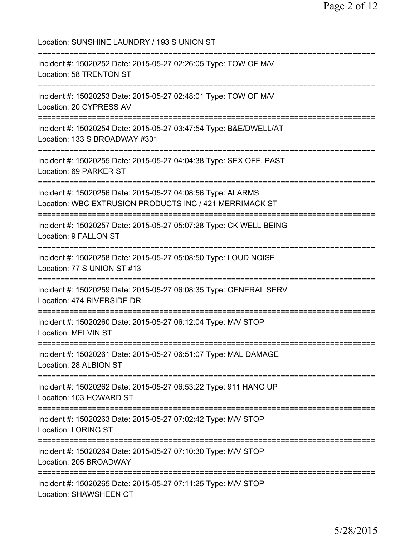Location: SUNSHINE LAUNDRY / 193 S UNION ST =========================================================================== Incident #: 15020252 Date: 2015-05-27 02:26:05 Type: TOW OF M/V Location: 58 TRENTON ST =========================================================================== Incident #: 15020253 Date: 2015-05-27 02:48:01 Type: TOW OF M/V Location: 20 CYPRESS AV =========================================================================== Incident #: 15020254 Date: 2015-05-27 03:47:54 Type: B&E/DWELL/AT Location: 133 S BROADWAY #301 =========================================================================== Incident #: 15020255 Date: 2015-05-27 04:04:38 Type: SEX OFF. PAST Location: 69 PARKER ST =========================================================================== Incident #: 15020256 Date: 2015-05-27 04:08:56 Type: ALARMS Location: WBC EXTRUSION PRODUCTS INC / 421 MERRIMACK ST =========================================================================== Incident #: 15020257 Date: 2015-05-27 05:07:28 Type: CK WELL BEING Location: 9 FALLON ST =========================================================================== Incident #: 15020258 Date: 2015-05-27 05:08:50 Type: LOUD NOISE Location: 77 S UNION ST #13 =========================================================================== Incident #: 15020259 Date: 2015-05-27 06:08:35 Type: GENERAL SERV Location: 474 RIVERSIDE DR =========================================================================== Incident #: 15020260 Date: 2015-05-27 06:12:04 Type: M/V STOP Location: MELVIN ST =========================================================================== Incident #: 15020261 Date: 2015-05-27 06:51:07 Type: MAL DAMAGE Location: 28 ALBION ST =========================================================================== Incident #: 15020262 Date: 2015-05-27 06:53:22 Type: 911 HANG UP Location: 103 HOWARD ST =========================================================================== Incident #: 15020263 Date: 2015-05-27 07:02:42 Type: M/V STOP Location: LORING ST =========================================================================== Incident #: 15020264 Date: 2015-05-27 07:10:30 Type: M/V STOP Location: 205 BROADWAY =========================================================================== Incident #: 15020265 Date: 2015-05-27 07:11:25 Type: M/V STOP Location: SHAWSHEEN CT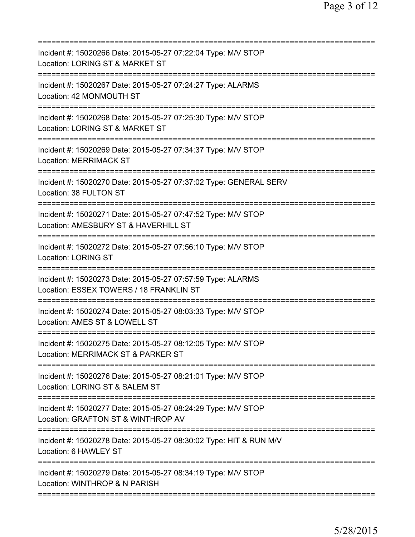| Incident #: 15020266 Date: 2015-05-27 07:22:04 Type: M/V STOP<br>Location: LORING ST & MARKET ST                                   |
|------------------------------------------------------------------------------------------------------------------------------------|
| Incident #: 15020267 Date: 2015-05-27 07:24:27 Type: ALARMS<br>Location: 42 MONMOUTH ST                                            |
| Incident #: 15020268 Date: 2015-05-27 07:25:30 Type: M/V STOP<br>Location: LORING ST & MARKET ST                                   |
| Incident #: 15020269 Date: 2015-05-27 07:34:37 Type: M/V STOP<br><b>Location: MERRIMACK ST</b>                                     |
| Incident #: 15020270 Date: 2015-05-27 07:37:02 Type: GENERAL SERV<br>Location: 38 FULTON ST                                        |
| Incident #: 15020271 Date: 2015-05-27 07:47:52 Type: M/V STOP<br>Location: AMESBURY ST & HAVERHILL ST                              |
| Incident #: 15020272 Date: 2015-05-27 07:56:10 Type: M/V STOP<br><b>Location: LORING ST</b>                                        |
| Incident #: 15020273 Date: 2015-05-27 07:57:59 Type: ALARMS<br>Location: ESSEX TOWERS / 18 FRANKLIN ST                             |
| Incident #: 15020274 Date: 2015-05-27 08:03:33 Type: M/V STOP<br>Location: AMES ST & LOWELL ST                                     |
| Incident #: 15020275 Date: 2015-05-27 08:12:05 Type: M/V STOP<br>Location: MERRIMACK ST & PARKER ST                                |
| ===============================<br>Incident #: 15020276 Date: 2015-05-27 08:21:01 Type: M/V STOP<br>Location: LORING ST & SALEM ST |
| Incident #: 15020277 Date: 2015-05-27 08:24:29 Type: M/V STOP<br>Location: GRAFTON ST & WINTHROP AV                                |
| Incident #: 15020278 Date: 2015-05-27 08:30:02 Type: HIT & RUN M/V<br>Location: 6 HAWLEY ST                                        |
| Incident #: 15020279 Date: 2015-05-27 08:34:19 Type: M/V STOP<br>Location: WINTHROP & N PARISH                                     |
|                                                                                                                                    |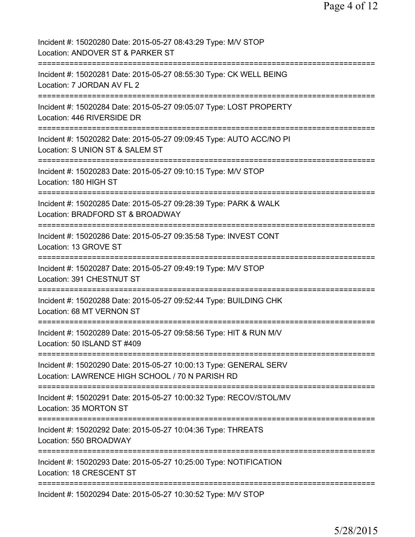| Incident #: 15020280 Date: 2015-05-27 08:43:29 Type: M/V STOP<br>Location: ANDOVER ST & PARKER ST                    |
|----------------------------------------------------------------------------------------------------------------------|
| Incident #: 15020281 Date: 2015-05-27 08:55:30 Type: CK WELL BEING<br>Location: 7 JORDAN AV FL 2                     |
| Incident #: 15020284 Date: 2015-05-27 09:05:07 Type: LOST PROPERTY<br>Location: 446 RIVERSIDE DR                     |
| Incident #: 15020282 Date: 2015-05-27 09:09:45 Type: AUTO ACC/NO PI<br>Location: S UNION ST & SALEM ST               |
| Incident #: 15020283 Date: 2015-05-27 09:10:15 Type: M/V STOP<br>Location: 180 HIGH ST                               |
| Incident #: 15020285 Date: 2015-05-27 09:28:39 Type: PARK & WALK<br>Location: BRADFORD ST & BROADWAY                 |
| Incident #: 15020286 Date: 2015-05-27 09:35:58 Type: INVEST CONT<br>Location: 13 GROVE ST                            |
| Incident #: 15020287 Date: 2015-05-27 09:49:19 Type: M/V STOP<br>Location: 391 CHESTNUT ST                           |
| Incident #: 15020288 Date: 2015-05-27 09:52:44 Type: BUILDING CHK<br>Location: 68 MT VERNON ST                       |
| ===========<br>Incident #: 15020289 Date: 2015-05-27 09:58:56 Type: HIT & RUN M/V<br>Location: 50 ISLAND ST #409     |
| Incident #: 15020290 Date: 2015-05-27 10:00:13 Type: GENERAL SERV<br>Location: LAWRENCE HIGH SCHOOL / 70 N PARISH RD |
| Incident #: 15020291 Date: 2015-05-27 10:00:32 Type: RECOV/STOL/MV<br>Location: 35 MORTON ST                         |
| Incident #: 15020292 Date: 2015-05-27 10:04:36 Type: THREATS<br>Location: 550 BROADWAY                               |
| Incident #: 15020293 Date: 2015-05-27 10:25:00 Type: NOTIFICATION<br>Location: 18 CRESCENT ST                        |
| Incident #: 15020294 Date: 2015-05-27 10:30:52 Type: M/V STOP                                                        |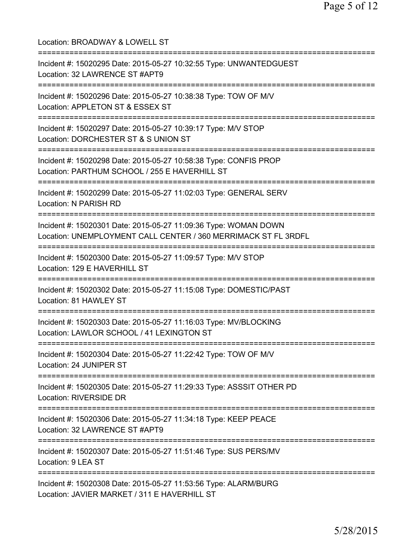| Location: BROADWAY & LOWELL ST<br>======================                                                                                                         |
|------------------------------------------------------------------------------------------------------------------------------------------------------------------|
| Incident #: 15020295 Date: 2015-05-27 10:32:55 Type: UNWANTEDGUEST<br>Location: 32 LAWRENCE ST #APT9<br>==========================                               |
| Incident #: 15020296 Date: 2015-05-27 10:38:38 Type: TOW OF M/V<br>Location: APPLETON ST & ESSEX ST<br>============================                              |
| Incident #: 15020297 Date: 2015-05-27 10:39:17 Type: M/V STOP<br>Location: DORCHESTER ST & S UNION ST<br>============================                            |
| Incident #: 15020298 Date: 2015-05-27 10:58:38 Type: CONFIS PROP<br>Location: PARTHUM SCHOOL / 255 E HAVERHILL ST                                                |
| Incident #: 15020299 Date: 2015-05-27 11:02:03 Type: GENERAL SERV<br>Location: N PARISH RD                                                                       |
| Incident #: 15020301 Date: 2015-05-27 11:09:36 Type: WOMAN DOWN<br>Location: UNEMPLOYMENT CALL CENTER / 360 MERRIMACK ST FL 3RDFL<br>=========================== |
| Incident #: 15020300 Date: 2015-05-27 11:09:57 Type: M/V STOP<br>Location: 129 E HAVERHILL ST                                                                    |
| Incident #: 15020302 Date: 2015-05-27 11:15:08 Type: DOMESTIC/PAST<br>Location: 81 HAWLEY ST                                                                     |
| Incident #: 15020303 Date: 2015-05-27 11:16:03 Type: MV/BLOCKING<br>Location: LAWLOR SCHOOL / 41 LEXINGTON ST                                                    |
| Incident #: 15020304 Date: 2015-05-27 11:22:42 Type: TOW OF M/V<br>Location: 24 JUNIPER ST                                                                       |
| Incident #: 15020305 Date: 2015-05-27 11:29:33 Type: ASSSIT OTHER PD<br>Location: RIVERSIDE DR                                                                   |
| :================================<br>Incident #: 15020306 Date: 2015-05-27 11:34:18 Type: KEEP PEACE<br>Location: 32 LAWRENCE ST #APT9                           |
| Incident #: 15020307 Date: 2015-05-27 11:51:46 Type: SUS PERS/MV<br>Location: 9 LEA ST                                                                           |
| Incident #: 15020308 Date: 2015-05-27 11:53:56 Type: ALARM/BURG<br>Location: JAVIER MARKET / 311 E HAVERHILL ST                                                  |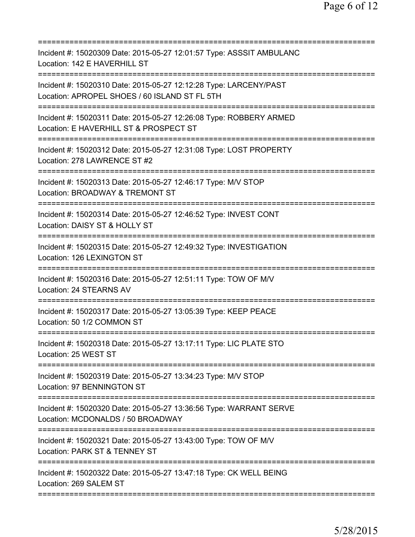| Incident #: 15020309 Date: 2015-05-27 12:01:57 Type: ASSSIT AMBULANC<br>Location: 142 E HAVERHILL ST                      |
|---------------------------------------------------------------------------------------------------------------------------|
| Incident #: 15020310 Date: 2015-05-27 12:12:28 Type: LARCENY/PAST<br>Location: APROPEL SHOES / 60 ISLAND ST FL 5TH        |
| Incident #: 15020311 Date: 2015-05-27 12:26:08 Type: ROBBERY ARMED<br>Location: E HAVERHILL ST & PROSPECT ST              |
| Incident #: 15020312 Date: 2015-05-27 12:31:08 Type: LOST PROPERTY<br>Location: 278 LAWRENCE ST #2                        |
| Incident #: 15020313 Date: 2015-05-27 12:46:17 Type: M/V STOP<br>Location: BROADWAY & TREMONT ST                          |
| Incident #: 15020314 Date: 2015-05-27 12:46:52 Type: INVEST CONT<br>Location: DAISY ST & HOLLY ST                         |
| Incident #: 15020315 Date: 2015-05-27 12:49:32 Type: INVESTIGATION<br>Location: 126 LEXINGTON ST<br>===================== |
| Incident #: 15020316 Date: 2015-05-27 12:51:11 Type: TOW OF M/V<br>Location: 24 STEARNS AV                                |
| Incident #: 15020317 Date: 2015-05-27 13:05:39 Type: KEEP PEACE<br>Location: 50 1/2 COMMON ST                             |
| ===================<br>Incident #: 15020318 Date: 2015-05-27 13:17:11 Type: LIC PLATE STO<br>Location: 25 WEST ST         |
| Incident #: 15020319 Date: 2015-05-27 13:34:23 Type: M/V STOP<br>Location: 97 BENNINGTON ST                               |
| Incident #: 15020320 Date: 2015-05-27 13:36:56 Type: WARRANT SERVE<br>Location: MCDONALDS / 50 BROADWAY                   |
| Incident #: 15020321 Date: 2015-05-27 13:43:00 Type: TOW OF M/V<br>Location: PARK ST & TENNEY ST                          |
| Incident #: 15020322 Date: 2015-05-27 13:47:18 Type: CK WELL BEING<br>Location: 269 SALEM ST                              |
|                                                                                                                           |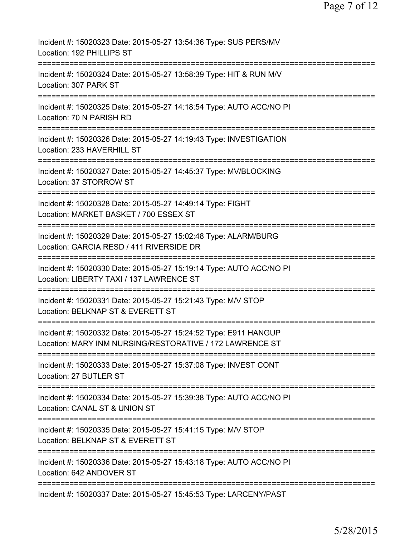| Incident #: 15020323 Date: 2015-05-27 13:54:36 Type: SUS PERS/MV<br>Location: 192 PHILLIPS ST                                    |
|----------------------------------------------------------------------------------------------------------------------------------|
| Incident #: 15020324 Date: 2015-05-27 13:58:39 Type: HIT & RUN M/V<br>Location: 307 PARK ST                                      |
| Incident #: 15020325 Date: 2015-05-27 14:18:54 Type: AUTO ACC/NO PI<br>Location: 70 N PARISH RD                                  |
| Incident #: 15020326 Date: 2015-05-27 14:19:43 Type: INVESTIGATION<br>Location: 233 HAVERHILL ST                                 |
| Incident #: 15020327 Date: 2015-05-27 14:45:37 Type: MV/BLOCKING<br>Location: 37 STORROW ST                                      |
| --------------<br>Incident #: 15020328 Date: 2015-05-27 14:49:14 Type: FIGHT<br>Location: MARKET BASKET / 700 ESSEX ST           |
| Incident #: 15020329 Date: 2015-05-27 15:02:48 Type: ALARM/BURG<br>Location: GARCIA RESD / 411 RIVERSIDE DR                      |
| Incident #: 15020330 Date: 2015-05-27 15:19:14 Type: AUTO ACC/NO PI<br>Location: LIBERTY TAXI / 137 LAWRENCE ST                  |
| Incident #: 15020331 Date: 2015-05-27 15:21:43 Type: M/V STOP<br>Location: BELKNAP ST & EVERETT ST                               |
| Incident #: 15020332 Date: 2015-05-27 15:24:52 Type: E911 HANGUP<br>Location: MARY INM NURSING/RESTORATIVE / 172 LAWRENCE ST     |
| Incident #: 15020333 Date: 2015-05-27 15:37:08 Type: INVEST CONT<br>Location: 27 BUTLER ST                                       |
| Incident #: 15020334 Date: 2015-05-27 15:39:38 Type: AUTO ACC/NO PI<br>Location: CANAL ST & UNION ST                             |
| Incident #: 15020335 Date: 2015-05-27 15:41:15 Type: M/V STOP<br>Location: BELKNAP ST & EVERETT ST                               |
| =============================<br>Incident #: 15020336 Date: 2015-05-27 15:43:18 Type: AUTO ACC/NO PI<br>Location: 642 ANDOVER ST |
| Incident #: 15020337 Date: 2015-05-27 15:45:53 Type: LARCENY/PAST                                                                |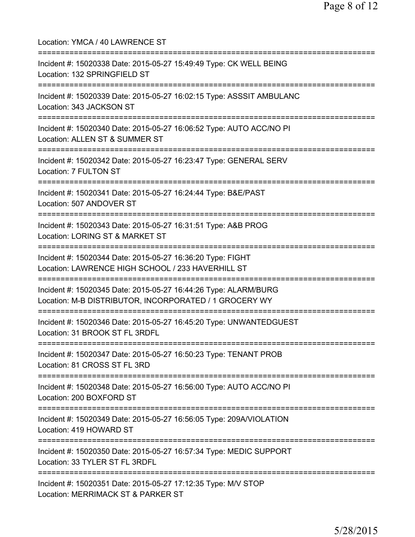Location: YMCA / 40 LAWRENCE ST =========================================================================== Incident #: 15020338 Date: 2015-05-27 15:49:49 Type: CK WELL BEING Location: 132 SPRINGFIELD ST =========================================================================== Incident #: 15020339 Date: 2015-05-27 16:02:15 Type: ASSSIT AMBULANC Location: 343 JACKSON ST =========================================================================== Incident #: 15020340 Date: 2015-05-27 16:06:52 Type: AUTO ACC/NO PI Location: ALLEN ST & SUMMER ST =========================================================================== Incident #: 15020342 Date: 2015-05-27 16:23:47 Type: GENERAL SERV Location: 7 FULTON ST =========================================================================== Incident #: 15020341 Date: 2015-05-27 16:24:44 Type: B&E/PAST Location: 507 ANDOVER ST =========================================================================== Incident #: 15020343 Date: 2015-05-27 16:31:51 Type: A&B PROG Location: LORING ST & MARKET ST =========================================================================== Incident #: 15020344 Date: 2015-05-27 16:36:20 Type: FIGHT Location: LAWRENCE HIGH SCHOOL / 233 HAVERHILL ST =========================================================================== Incident #: 15020345 Date: 2015-05-27 16:44:26 Type: ALARM/BURG Location: M-B DISTRIBUTOR, INCORPORATED / 1 GROCERY WY =========================================================================== Incident #: 15020346 Date: 2015-05-27 16:45:20 Type: UNWANTEDGUEST Location: 31 BROOK ST FL 3RDFL =========================================================================== Incident #: 15020347 Date: 2015-05-27 16:50:23 Type: TENANT PROB Location: 81 CROSS ST FL 3RD =========================================================================== Incident #: 15020348 Date: 2015-05-27 16:56:00 Type: AUTO ACC/NO PI Location: 200 BOXFORD ST =========================================================================== Incident #: 15020349 Date: 2015-05-27 16:56:05 Type: 209A/VIOLATION Location: 419 HOWARD ST =========================================================================== Incident #: 15020350 Date: 2015-05-27 16:57:34 Type: MEDIC SUPPORT Location: 33 TYLER ST FL 3RDFL =========================================================================== Incident #: 15020351 Date: 2015-05-27 17:12:35 Type: M/V STOP Location: MERRIMACK ST & PARKER ST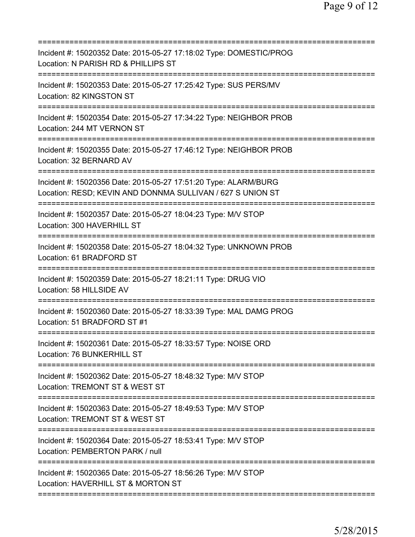| Incident #: 15020352 Date: 2015-05-27 17:18:02 Type: DOMESTIC/PROG<br>Location: N PARISH RD & PHILLIPS ST                     |
|-------------------------------------------------------------------------------------------------------------------------------|
| Incident #: 15020353 Date: 2015-05-27 17:25:42 Type: SUS PERS/MV<br>Location: 82 KINGSTON ST                                  |
| Incident #: 15020354 Date: 2015-05-27 17:34:22 Type: NEIGHBOR PROB<br>Location: 244 MT VERNON ST                              |
| Incident #: 15020355 Date: 2015-05-27 17:46:12 Type: NEIGHBOR PROB<br>Location: 32 BERNARD AV                                 |
| Incident #: 15020356 Date: 2015-05-27 17:51:20 Type: ALARM/BURG<br>Location: RESD; KEVIN AND DONNMA SULLIVAN / 627 S UNION ST |
| Incident #: 15020357 Date: 2015-05-27 18:04:23 Type: M/V STOP<br>Location: 300 HAVERHILL ST                                   |
| Incident #: 15020358 Date: 2015-05-27 18:04:32 Type: UNKNOWN PROB<br>Location: 61 BRADFORD ST<br>=====================        |
| Incident #: 15020359 Date: 2015-05-27 18:21:11 Type: DRUG VIO<br>Location: 58 HILLSIDE AV                                     |
| Incident #: 15020360 Date: 2015-05-27 18:33:39 Type: MAL DAMG PROG<br>Location: 51 BRADFORD ST #1                             |
| Incident #: 15020361 Date: 2015-05-27 18:33:57 Type: NOISE ORD<br>Location: 76 BUNKERHILL ST                                  |
| Incident #: 15020362 Date: 2015-05-27 18:48:32 Type: M/V STOP<br>Location: TREMONT ST & WEST ST                               |
| Incident #: 15020363 Date: 2015-05-27 18:49:53 Type: M/V STOP<br>Location: TREMONT ST & WEST ST                               |
| Incident #: 15020364 Date: 2015-05-27 18:53:41 Type: M/V STOP<br>Location: PEMBERTON PARK / null                              |
| Incident #: 15020365 Date: 2015-05-27 18:56:26 Type: M/V STOP<br>Location: HAVERHILL ST & MORTON ST                           |
|                                                                                                                               |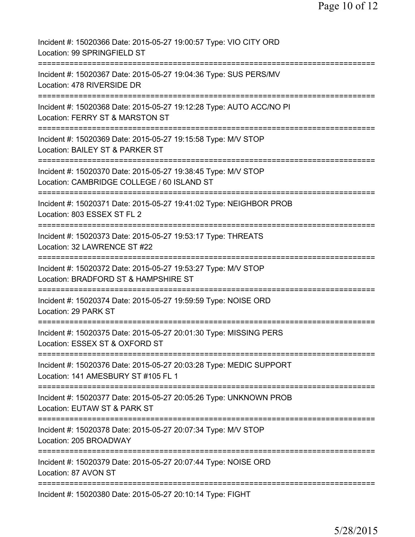| Incident #: 15020366 Date: 2015-05-27 19:00:57 Type: VIO CITY ORD<br>Location: 99 SPRINGFIELD ST                                    |
|-------------------------------------------------------------------------------------------------------------------------------------|
| Incident #: 15020367 Date: 2015-05-27 19:04:36 Type: SUS PERS/MV<br>Location: 478 RIVERSIDE DR                                      |
| Incident #: 15020368 Date: 2015-05-27 19:12:28 Type: AUTO ACC/NO PI<br>Location: FERRY ST & MARSTON ST                              |
| Incident #: 15020369 Date: 2015-05-27 19:15:58 Type: M/V STOP<br>Location: BAILEY ST & PARKER ST                                    |
| Incident #: 15020370 Date: 2015-05-27 19:38:45 Type: M/V STOP<br>Location: CAMBRIDGE COLLEGE / 60 ISLAND ST                         |
| Incident #: 15020371 Date: 2015-05-27 19:41:02 Type: NEIGHBOR PROB<br>Location: 803 ESSEX ST FL 2                                   |
| Incident #: 15020373 Date: 2015-05-27 19:53:17 Type: THREATS<br>Location: 32 LAWRENCE ST #22                                        |
| Incident #: 15020372 Date: 2015-05-27 19:53:27 Type: M/V STOP<br>Location: BRADFORD ST & HAMPSHIRE ST                               |
| Incident #: 15020374 Date: 2015-05-27 19:59:59 Type: NOISE ORD<br>Location: 29 PARK ST                                              |
| Incident #: 15020375 Date: 2015-05-27 20:01:30 Type: MISSING PERS<br>Location: ESSEX ST & OXFORD ST                                 |
| :==================<br>Incident #: 15020376 Date: 2015-05-27 20:03:28 Type: MEDIC SUPPORT<br>Location: 141 AMESBURY ST #105 FL 1    |
| ==============================<br>Incident #: 15020377 Date: 2015-05-27 20:05:26 Type: UNKNOWN PROB<br>Location: EUTAW ST & PARK ST |
| Incident #: 15020378 Date: 2015-05-27 20:07:34 Type: M/V STOP<br>Location: 205 BROADWAY                                             |
| Incident #: 15020379 Date: 2015-05-27 20:07:44 Type: NOISE ORD<br>Location: 87 AVON ST                                              |
| Incident #: 15020380 Date: 2015-05-27 20:10:14 Type: FIGHT                                                                          |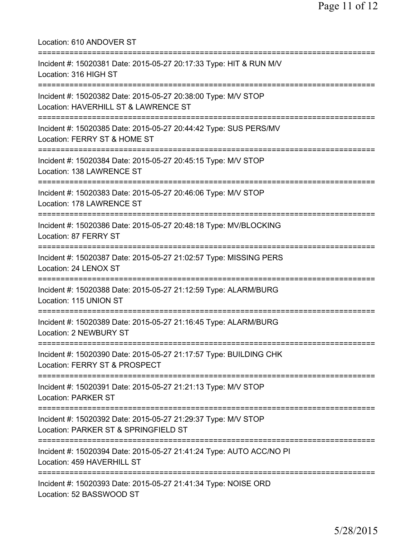| Location: 610 ANDOVER ST                                                                                                             |
|--------------------------------------------------------------------------------------------------------------------------------------|
| Incident #: 15020381 Date: 2015-05-27 20:17:33 Type: HIT & RUN M/V<br>Location: 316 HIGH ST                                          |
| Incident #: 15020382 Date: 2015-05-27 20:38:00 Type: M/V STOP<br>Location: HAVERHILL ST & LAWRENCE ST<br>=========================== |
| Incident #: 15020385 Date: 2015-05-27 20:44:42 Type: SUS PERS/MV<br>Location: FERRY ST & HOME ST                                     |
| =========================<br>Incident #: 15020384 Date: 2015-05-27 20:45:15 Type: M/V STOP<br>Location: 138 LAWRENCE ST              |
| Incident #: 15020383 Date: 2015-05-27 20:46:06 Type: M/V STOP<br>Location: 178 LAWRENCE ST                                           |
| Incident #: 15020386 Date: 2015-05-27 20:48:18 Type: MV/BLOCKING<br>Location: 87 FERRY ST                                            |
| Incident #: 15020387 Date: 2015-05-27 21:02:57 Type: MISSING PERS<br>Location: 24 LENOX ST                                           |
| Incident #: 15020388 Date: 2015-05-27 21:12:59 Type: ALARM/BURG<br>Location: 115 UNION ST                                            |
| Incident #: 15020389 Date: 2015-05-27 21:16:45 Type: ALARM/BURG<br><b>Location: 2 NEWBURY ST</b>                                     |
| Incident #: 15020390 Date: 2015-05-27 21:17:57 Type: BUILDING CHK<br>Location: FERRY ST & PROSPECT                                   |
| Incident #: 15020391 Date: 2015-05-27 21:21:13 Type: M/V STOP<br><b>Location: PARKER ST</b>                                          |
| Incident #: 15020392 Date: 2015-05-27 21:29:37 Type: M/V STOP<br>Location: PARKER ST & SPRINGFIELD ST                                |
| Incident #: 15020394 Date: 2015-05-27 21:41:24 Type: AUTO ACC/NO PI<br>Location: 459 HAVERHILL ST                                    |
| Incident #: 15020393 Date: 2015-05-27 21:41:34 Type: NOISE ORD<br>Location: 52 BASSWOOD ST                                           |